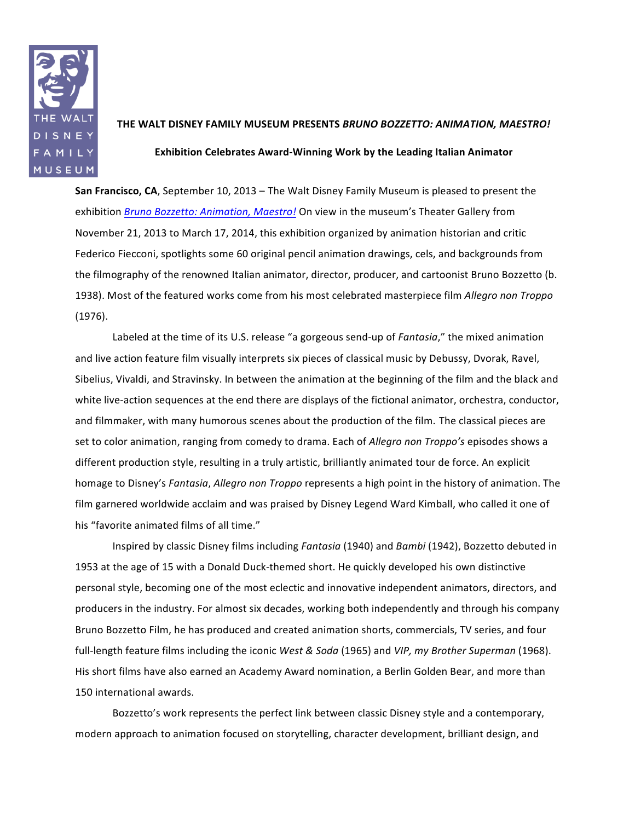

## **THE!WALT!DISNEY!FAMILY!MUSEUM!PRESENTS!***BRUNO&BOZZETTO:&ANIMATION,&MAESTRO!* **Exhibition Celebrates Award-Winning Work by the Leading Italian Animator**

**San Francisco, CA**, September 10, 2013 – The Walt Disney Family Museum is pleased to present the exhibition *Bruno Bozzetto: Animation, Maestro!* On view in the museum's Theater Gallery from November 21, 2013 to March 17, 2014, this exhibition organized by animation historian and critic Federico Fiecconi, spotlights some 60 original pencil animation drawings, cels, and backgrounds from the filmography of the renowned Italian animator, director, producer, and cartoonist Bruno Bozzetto (b. 1938). Most of the featured works come from his most celebrated masterpiece film *Allegro non Troppo*  $(1976).$ 

Labeled at the time of its U.S. release "a gorgeous send-up of *Fantasia*," the mixed animation and live action feature film visually interprets six pieces of classical music by Debussy, Dvorak, Ravel, Sibelius, Vivaldi, and Stravinsky. In between the animation at the beginning of the film and the black and white live-action sequences at the end there are displays of the fictional animator, orchestra, conductor, and filmmaker, with many humorous scenes about the production of the film. The classical pieces are set to color animation, ranging from comedy to drama. Each of *Allegro non Troppo's* episodes shows a different production style, resulting in a truly artistic, brilliantly animated tour de force. An explicit homage to Disney's *Fantasia, Allegro non Troppo* represents a high point in the history of animation. The film garnered worldwide acclaim and was praised by Disney Legend Ward Kimball, who called it one of his "favorite animated films of all time."

Inspired by classic Disney films including *Fantasia* (1940) and *Bambi* (1942), Bozzetto debuted in 1953 at the age of 15 with a Donald Duck-themed short. He quickly developed his own distinctive personal style, becoming one of the most eclectic and innovative independent animators, directors, and producers in the industry. For almost six decades, working both independently and through his company Bruno Bozzetto Film, he has produced and created animation shorts, commercials, TV series, and four full-length feature films including the iconic West & Soda (1965) and VIP, my Brother Superman (1968). His short films have also earned an Academy Award nomination, a Berlin Golden Bear, and more than 150 international awards.

Bozzetto's work represents the perfect link between classic Disney style and a contemporary, modern approach to animation focused on storytelling, character development, brilliant design, and